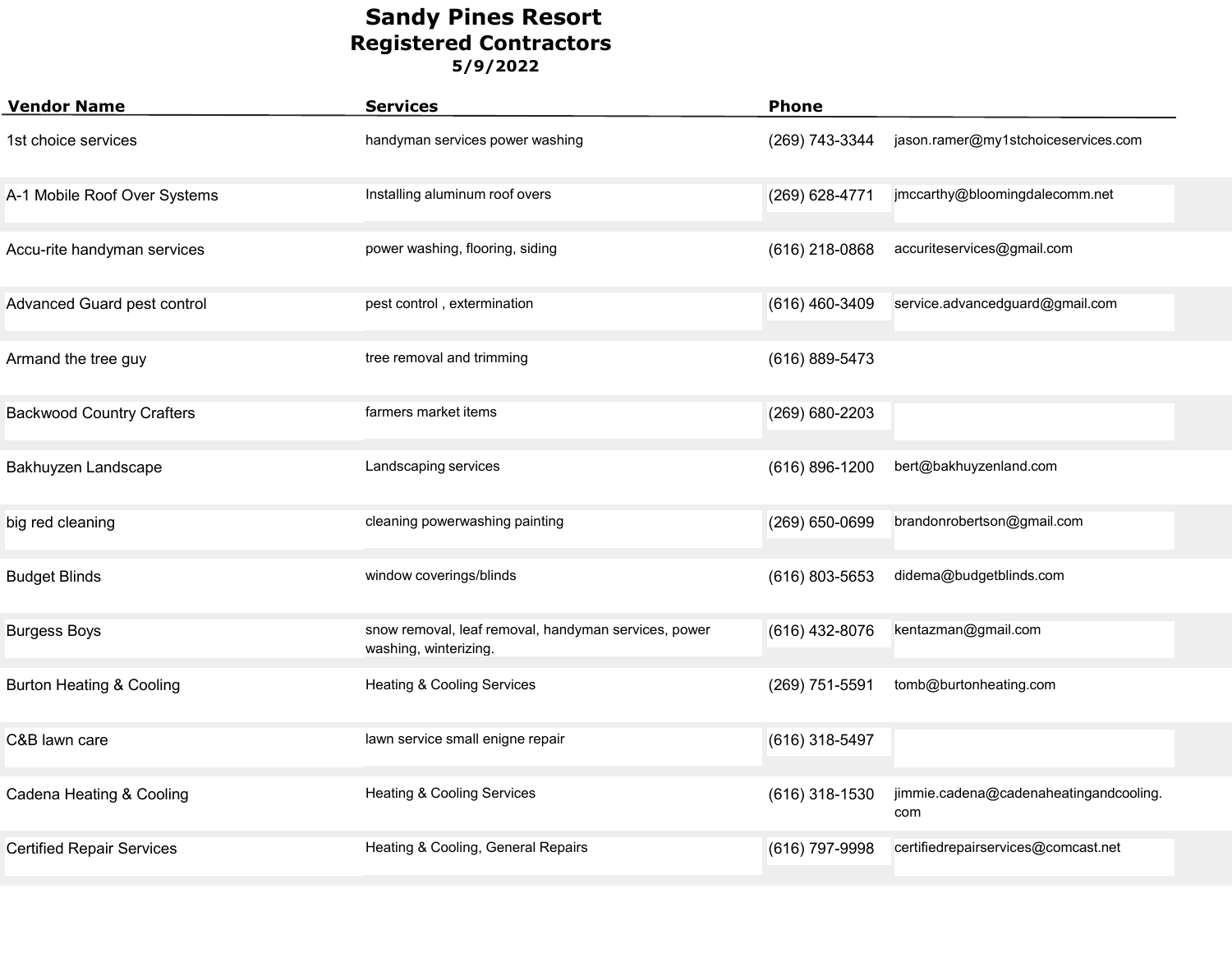| <b>Vendor Name</b>                  | <b>Services</b>                                                               | <b>Phone</b>     |                                               |
|-------------------------------------|-------------------------------------------------------------------------------|------------------|-----------------------------------------------|
| 1st choice services                 | handyman services power washing                                               | (269) 743-3344   | jason.ramer@my1stchoiceservices.com           |
| A-1 Mobile Roof Over Systems        | Installing aluminum roof overs                                                | (269) 628-4771   | jmccarthy@bloomingdalecomm.net                |
| Accu-rite handyman services         | power washing, flooring, siding                                               | (616) 218-0868   | accuriteservices@gmail.com                    |
| Advanced Guard pest control         | pest control, extermination                                                   | (616) 460-3409   | service.advancedguard@gmail.com               |
| Armand the tree guy                 | tree removal and trimming                                                     | (616) 889-5473   |                                               |
| <b>Backwood Country Crafters</b>    | farmers market items                                                          | (269) 680-2203   |                                               |
| Bakhuyzen Landscape                 | Landscaping services                                                          | (616) 896-1200   | bert@bakhuyzenland.com                        |
| big red cleaning                    | cleaning powerwashing painting                                                | (269) 650-0699   | brandonrobertson@gmail.com                    |
| <b>Budget Blinds</b>                | window coverings/blinds                                                       | (616) 803-5653   | didema@budgetblinds.com                       |
| <b>Burgess Boys</b>                 | snow removal, leaf removal, handyman services, power<br>washing, winterizing. | (616) 432-8076   | kentazman@gmail.com                           |
| <b>Burton Heating &amp; Cooling</b> | <b>Heating &amp; Cooling Services</b>                                         | (269) 751-5591   | tomb@burtonheating.com                        |
| C&B lawn care                       | lawn service small enigne repair                                              | (616) 318-5497   |                                               |
| Cadena Heating & Cooling            | <b>Heating &amp; Cooling Services</b>                                         | $(616)$ 318-1530 | jimmie.cadena@cadenaheatingandcooling.<br>com |
| <b>Certified Repair Services</b>    | Heating & Cooling, General Repairs                                            | (616) 797-9998   | certifiedrepairservices@comcast.net           |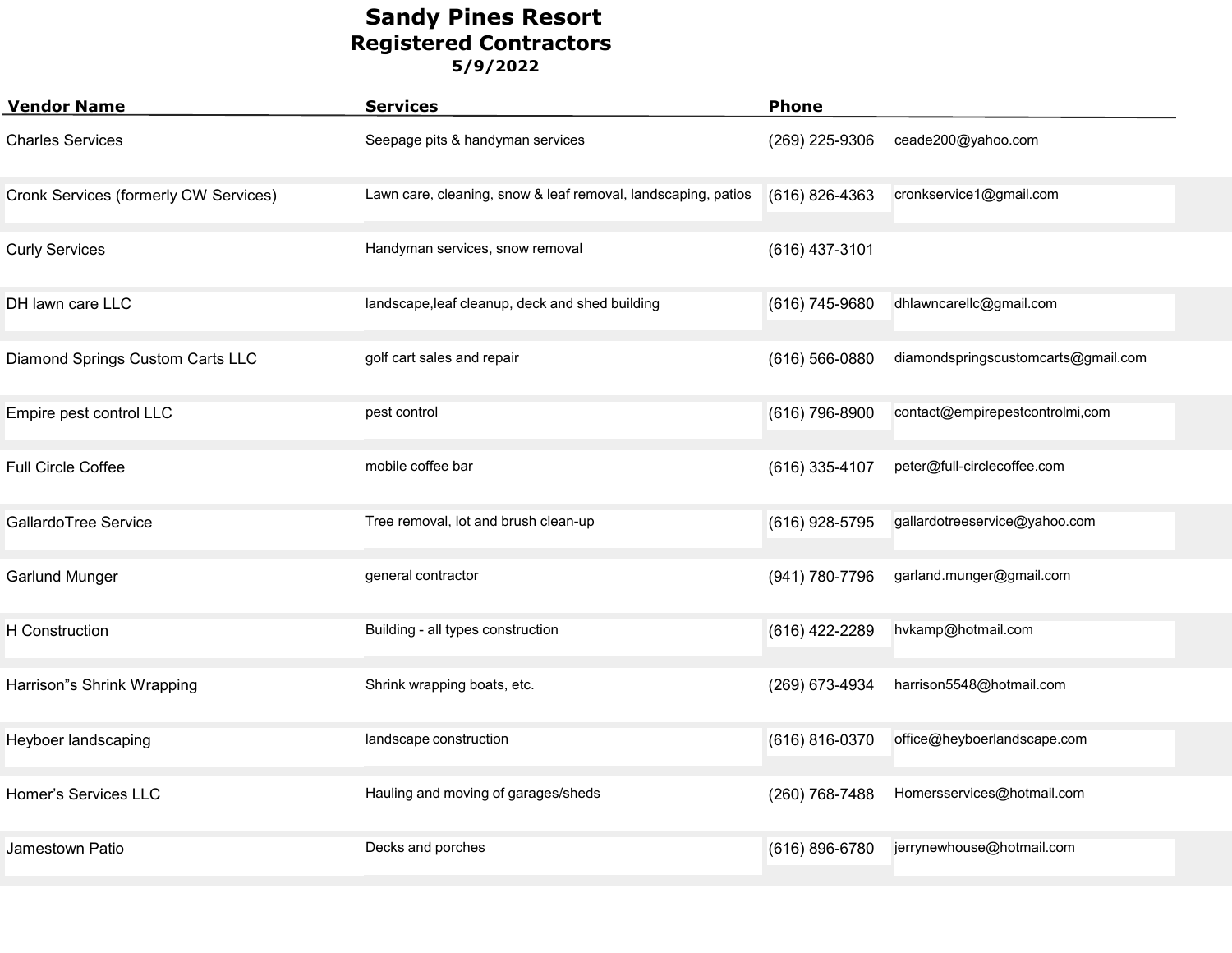| <b>Vendor Name</b>                    | <b>Services</b>                                               | <b>Phone</b>       |                                     |
|---------------------------------------|---------------------------------------------------------------|--------------------|-------------------------------------|
| <b>Charles Services</b>               | Seepage pits & handyman services                              | (269) 225-9306     | ceade200@yahoo.com                  |
| Cronk Services (formerly CW Services) | Lawn care, cleaning, snow & leaf removal, landscaping, patios | (616) 826-4363     | cronkservice1@gmail.com             |
| <b>Curly Services</b>                 | Handyman services, snow removal                               | (616) 437-3101     |                                     |
| DH lawn care LLC                      | landscape, leaf cleanup, deck and shed building               | (616) 745-9680     | dhlawncarellc@gmail.com             |
| Diamond Springs Custom Carts LLC      | golf cart sales and repair                                    | $(616) 566 - 0880$ | diamondspringscustomcarts@gmail.com |
| Empire pest control LLC               | pest control                                                  | (616) 796-8900     | contact@empirepestcontrolmi,com     |
| Full Circle Coffee                    | mobile coffee bar                                             | (616) 335-4107     | peter@full-circlecoffee.com         |
| GallardoTree Service                  | Tree removal, lot and brush clean-up                          | (616) 928-5795     | gallardotreeservice@yahoo.com       |
| <b>Garlund Munger</b>                 | general contractor                                            | (941) 780-7796     | garland.munger@gmail.com            |
| <b>H</b> Construction                 | Building - all types construction                             | (616) 422-2289     | hvkamp@hotmail.com                  |
| Harrison"s Shrink Wrapping            | Shrink wrapping boats, etc.                                   | (269) 673-4934     | harrison5548@hotmail.com            |
| Heyboer landscaping                   | landscape construction                                        | (616) 816-0370     | office@heyboerlandscape.com         |
| Homer's Services LLC                  | Hauling and moving of garages/sheds                           | (260) 768-7488     | Homersservices@hotmail.com          |
| Jamestown Patio                       | Decks and porches                                             | (616) 896-6780     | jerrynewhouse@hotmail.com           |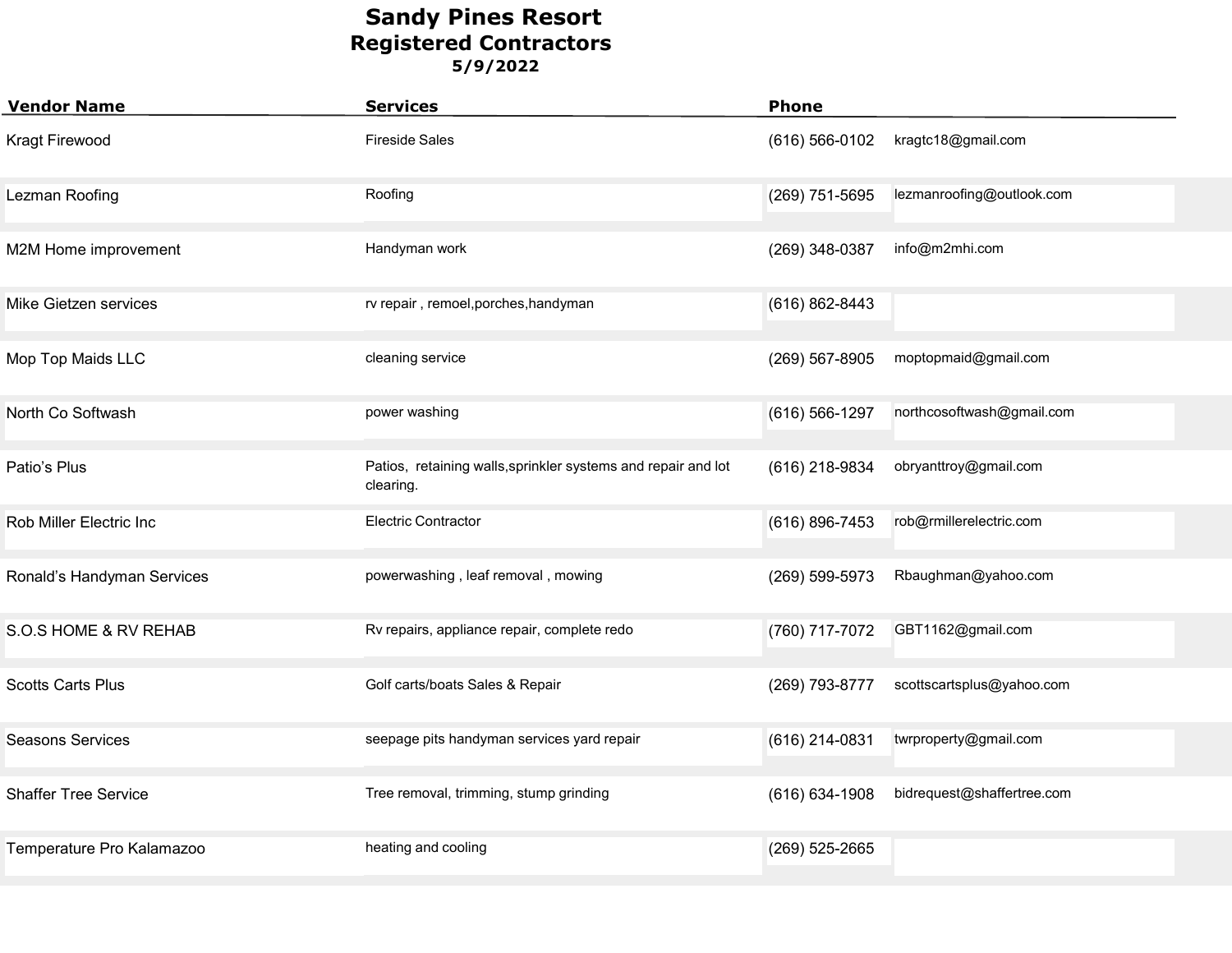| <b>Vendor Name</b>          | <b>Services</b>                                                            | <b>Phone</b>       |                            |
|-----------------------------|----------------------------------------------------------------------------|--------------------|----------------------------|
| <b>Kragt Firewood</b>       | <b>Fireside Sales</b>                                                      | $(616) 566 - 0102$ | kragtc18@gmail.com         |
| Lezman Roofing              | Roofing                                                                    | (269) 751-5695     | lezmanroofing@outlook.com  |
| M2M Home improvement        | Handyman work                                                              | (269) 348-0387     | info@m2mhi.com             |
| Mike Gietzen services       | rv repair, remoel, porches, handyman                                       | (616) 862-8443     |                            |
| Mop Top Maids LLC           | cleaning service                                                           | (269) 567-8905     | moptopmaid@gmail.com       |
| North Co Softwash           | power washing                                                              | (616) 566-1297     | northcosoftwash@gmail.com  |
| Patio's Plus                | Patios, retaining walls, sprinkler systems and repair and lot<br>clearing. | (616) 218-9834     | obryanttroy@gmail.com      |
| Rob Miller Electric Inc     | <b>Electric Contractor</b>                                                 | (616) 896-7453     | rob@rmillerelectric.com    |
| Ronald's Handyman Services  | powerwashing, leaf removal, mowing                                         | (269) 599-5973     | Rbaughman@yahoo.com        |
| S.O.S HOME & RV REHAB       | Rv repairs, appliance repair, complete redo                                | (760) 717-7072     | GBT1162@gmail.com          |
| <b>Scotts Carts Plus</b>    | Golf carts/boats Sales & Repair                                            | (269) 793-8777     | scottscartsplus@yahoo.com  |
| <b>Seasons Services</b>     | seepage pits handyman services yard repair                                 | (616) 214-0831     | twrproperty@gmail.com      |
| <b>Shaffer Tree Service</b> | Tree removal, trimming, stump grinding                                     | $(616) 634 - 1908$ | bidrequest@shaffertree.com |
| Temperature Pro Kalamazoo   | heating and cooling                                                        | $(269)$ 525-2665   |                            |